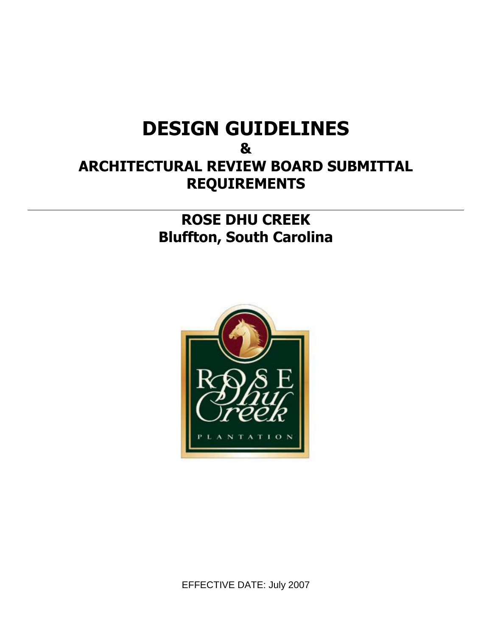# **DESIGN GUIDELINES & ARCHITECTURAL REVIEW BOARD SUBMITTAL REQUIREMENTS**

## **ROSE DHU CREEK Bluffton, South Carolina**

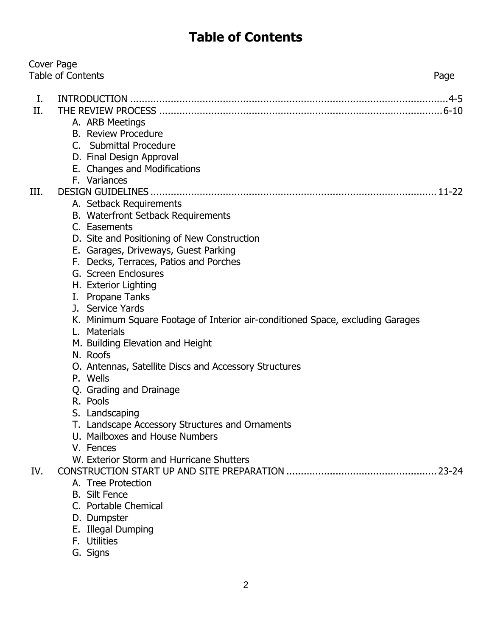## **Table of Contents**

| Cover Page | <b>Table of Contents</b><br>Page                                               |
|------------|--------------------------------------------------------------------------------|
|            |                                                                                |
| Ι.<br>II.  | A. ARB Meetings                                                                |
|            | <b>B.</b> Review Procedure                                                     |
|            | C. Submittal Procedure                                                         |
|            | D. Final Design Approval<br>E. Changes and Modifications                       |
|            | F. Variances                                                                   |
| III.       |                                                                                |
|            | A. Setback Requirements                                                        |
|            | B. Waterfront Setback Requirements                                             |
|            | C. Easements                                                                   |
|            | D. Site and Positioning of New Construction                                    |
|            | E. Garages, Driveways, Guest Parking                                           |
|            | F. Decks, Terraces, Patios and Porches<br>G. Screen Enclosures                 |
|            | H. Exterior Lighting                                                           |
|            | I. Propane Tanks                                                               |
|            | J. Service Yards                                                               |
|            | K. Minimum Square Footage of Interior air-conditioned Space, excluding Garages |
|            | Materials<br>L.                                                                |
|            | M. Building Elevation and Height                                               |
|            | N. Roofs                                                                       |
|            | O. Antennas, Satellite Discs and Accessory Structures                          |
|            | P. Wells                                                                       |
|            | Q. Grading and Drainage                                                        |
|            | R. Pools                                                                       |
|            | S. Landscaping<br>T. Landscape Accessory Structures and Ornaments              |
|            | U. Mailboxes and House Numbers                                                 |
|            | V. Fences                                                                      |
|            | W. Exterior Storm and Hurricane Shutters                                       |
| IV.        |                                                                                |
|            | A. Tree Protection                                                             |
|            | <b>B.</b> Silt Fence                                                           |
|            | C. Portable Chemical                                                           |
|            | D. Dumpster                                                                    |
|            | E. Illegal Dumping                                                             |
|            | F. Utilities                                                                   |
|            | G. Signs                                                                       |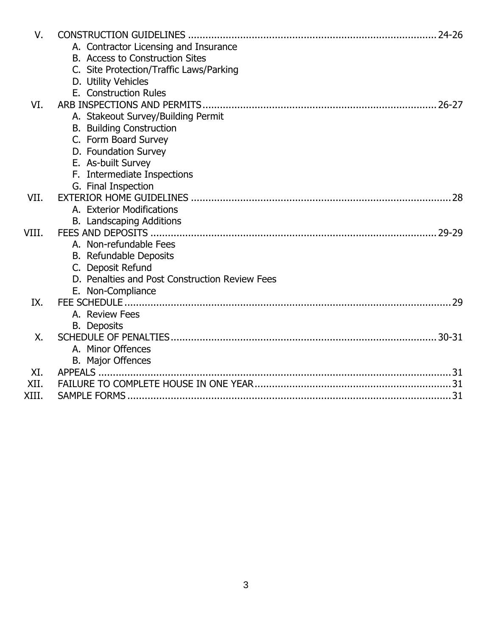| V.    |                                                |    |
|-------|------------------------------------------------|----|
|       | A. Contractor Licensing and Insurance          |    |
|       | B. Access to Construction Sites                |    |
|       | C. Site Protection/Traffic Laws/Parking        |    |
|       | D. Utility Vehicles                            |    |
|       | E. Construction Rules                          |    |
| VI.   |                                                |    |
|       | A. Stakeout Survey/Building Permit             |    |
|       | <b>B.</b> Building Construction                |    |
|       | C. Form Board Survey                           |    |
|       | D. Foundation Survey                           |    |
|       | E. As-built Survey                             |    |
|       | F. Intermediate Inspections                    |    |
|       | G. Final Inspection                            |    |
| VII.  |                                                |    |
|       | A. Exterior Modifications                      |    |
|       | B. Landscaping Additions                       |    |
| VIII. |                                                |    |
|       | A. Non-refundable Fees                         |    |
|       | <b>B.</b> Refundable Deposits                  |    |
|       | C. Deposit Refund                              |    |
|       | D. Penalties and Post Construction Review Fees |    |
|       | E. Non-Compliance                              |    |
| IX.   |                                                | 29 |
|       | A. Review Fees                                 |    |
|       | <b>B.</b> Deposits                             |    |
| Χ.    |                                                |    |
|       | A. Minor Offences                              |    |
|       | <b>B.</b> Major Offences                       |    |
| XI.   |                                                |    |
| XII.  |                                                |    |
| XIII. |                                                |    |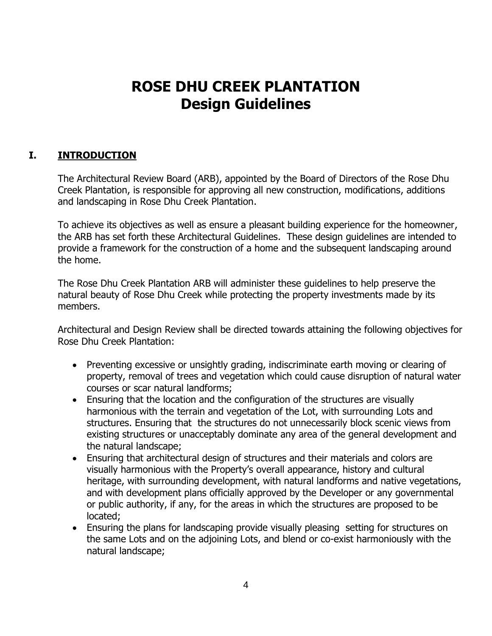## **ROSE DHU CREEK PLANTATION Design Guidelines**

#### **I. INTRODUCTION**

The Architectural Review Board (ARB), appointed by the Board of Directors of the Rose Dhu Creek Plantation, is responsible for approving all new construction, modifications, additions and landscaping in Rose Dhu Creek Plantation.

To achieve its objectives as well as ensure a pleasant building experience for the homeowner, the ARB has set forth these Architectural Guidelines. These design guidelines are intended to provide a framework for the construction of a home and the subsequent landscaping around the home.

The Rose Dhu Creek Plantation ARB will administer these guidelines to help preserve the natural beauty of Rose Dhu Creek while protecting the property investments made by its members.

Architectural and Design Review shall be directed towards attaining the following objectives for Rose Dhu Creek Plantation:

- Preventing excessive or unsightly grading, indiscriminate earth moving or clearing of property, removal of trees and vegetation which could cause disruption of natural water courses or scar natural landforms;
- Ensuring that the location and the configuration of the structures are visually harmonious with the terrain and vegetation of the Lot, with surrounding Lots and structures. Ensuring that the structures do not unnecessarily block scenic views from existing structures or unacceptably dominate any area of the general development and the natural landscape;
- Ensuring that architectural design of structures and their materials and colors are visually harmonious with the Property's overall appearance, history and cultural heritage, with surrounding development, with natural landforms and native vegetations, and with development plans officially approved by the Developer or any governmental or public authority, if any, for the areas in which the structures are proposed to be located;
- Ensuring the plans for landscaping provide visually pleasing setting for structures on the same Lots and on the adjoining Lots, and blend or co-exist harmoniously with the natural landscape;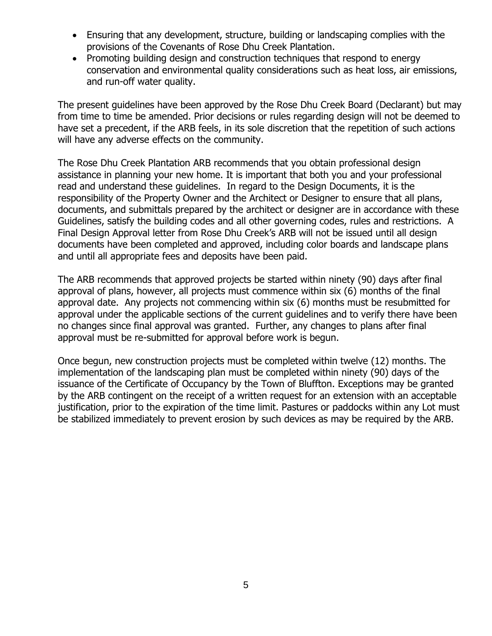- Ensuring that any development, structure, building or landscaping complies with the provisions of the Covenants of Rose Dhu Creek Plantation.
- Promoting building design and construction techniques that respond to energy conservation and environmental quality considerations such as heat loss, air emissions, and run-off water quality.

The present guidelines have been approved by the Rose Dhu Creek Board (Declarant) but may from time to time be amended. Prior decisions or rules regarding design will not be deemed to have set a precedent, if the ARB feels, in its sole discretion that the repetition of such actions will have any adverse effects on the community.

The Rose Dhu Creek Plantation ARB recommends that you obtain professional design assistance in planning your new home. It is important that both you and your professional read and understand these guidelines. In regard to the Design Documents, it is the responsibility of the Property Owner and the Architect or Designer to ensure that all plans, documents, and submittals prepared by the architect or designer are in accordance with these Guidelines, satisfy the building codes and all other governing codes, rules and restrictions. A Final Design Approval letter from Rose Dhu Creek's ARB will not be issued until all design documents have been completed and approved, including color boards and landscape plans and until all appropriate fees and deposits have been paid.

The ARB recommends that approved projects be started within ninety (90) days after final approval of plans, however, all projects must commence within six (6) months of the final approval date. Any projects not commencing within six (6) months must be resubmitted for approval under the applicable sections of the current guidelines and to verify there have been no changes since final approval was granted. Further, any changes to plans after final approval must be re-submitted for approval before work is begun.

Once begun, new construction projects must be completed within twelve (12) months. The implementation of the landscaping plan must be completed within ninety (90) days of the issuance of the Certificate of Occupancy by the Town of Bluffton. Exceptions may be granted by the ARB contingent on the receipt of a written request for an extension with an acceptable justification, prior to the expiration of the time limit. Pastures or paddocks within any Lot must be stabilized immediately to prevent erosion by such devices as may be required by the ARB.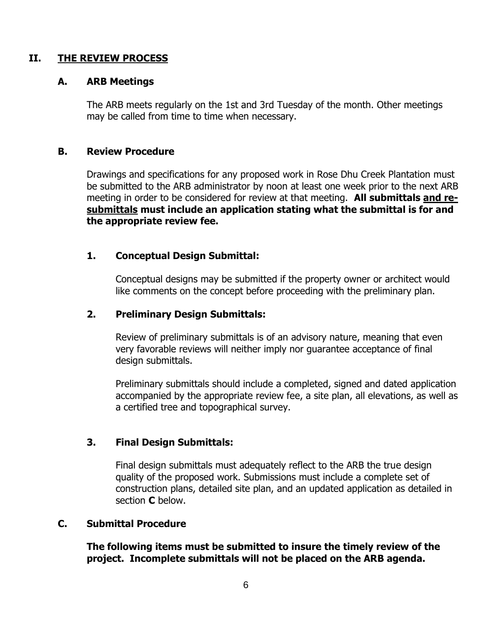#### **II. THE REVIEW PROCESS**

#### **A. ARB Meetings**

The ARB meets regularly on the 1st and 3rd Tuesday of the month. Other meetings may be called from time to time when necessary.

#### **B. Review Procedure**

Drawings and specifications for any proposed work in Rose Dhu Creek Plantation must be submitted to the ARB administrator by noon at least one week prior to the next ARB meeting in order to be considered for review at that meeting. **All submittals and resubmittals must include an application stating what the submittal is for and the appropriate review fee.**

#### **1. Conceptual Design Submittal:**

Conceptual designs may be submitted if the property owner or architect would like comments on the concept before proceeding with the preliminary plan.

#### **2. Preliminary Design Submittals:**

Review of preliminary submittals is of an advisory nature, meaning that even very favorable reviews will neither imply nor guarantee acceptance of final design submittals.

Preliminary submittals should include a completed, signed and dated application accompanied by the appropriate review fee, a site plan, all elevations, as well as a certified tree and topographical survey.

#### **3. Final Design Submittals:**

Final design submittals must adequately reflect to the ARB the true design quality of the proposed work. Submissions must include a complete set of construction plans, detailed site plan, and an updated application as detailed in section **C** below.

#### **C. Submittal Procedure**

**The following items must be submitted to insure the timely review of the project. Incomplete submittals will not be placed on the ARB agenda.**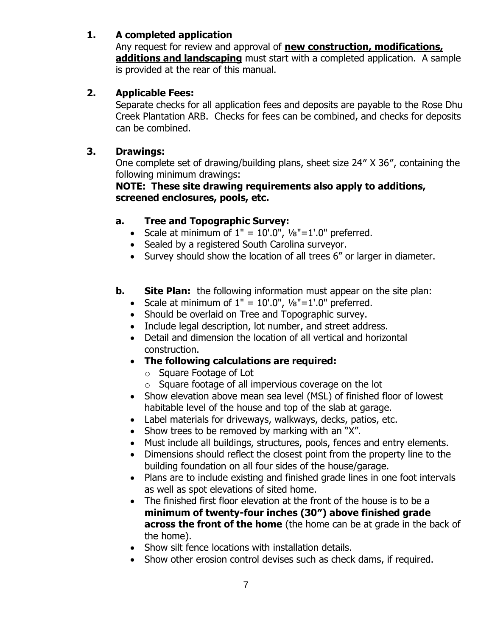#### **1. A completed application**

Any request for review and approval of **new construction, modifications, additions and landscaping** must start with a completed application. A sample is provided at the rear of this manual.

#### **2. Applicable Fees:**

Separate checks for all application fees and deposits are payable to the Rose Dhu Creek Plantation ARB. Checks for fees can be combined, and checks for deposits can be combined.

#### **3. Drawings:**

One complete set of drawing/building plans, sheet size 24″ X 36″, containing the following minimum drawings:

#### **NOTE: These site drawing requirements also apply to additions, screened enclosures, pools, etc.**

#### **a. Tree and Topographic Survey:**

- Scale at minimum of  $1'' = 10'.0''$ ,  $\frac{1}{8}$ "=1'.0" preferred.
- Sealed by a registered South Carolina surveyor.
- Survey should show the location of all trees 6" or larger in diameter.
- **b.** Site Plan: the following information must appear on the site plan:
	- Scale at minimum of  $1" = 10'.0", \frac{1}{8} = 1'.0"$  preferred.
	- Should be overlaid on Tree and Topographic survey.
	- Include legal description, lot number, and street address.
	- Detail and dimension the location of all vertical and horizontal construction.
	- **The following calculations are required:**
		- o Square Footage of Lot
		- o Square footage of all impervious coverage on the lot
	- Show elevation above mean sea level (MSL) of finished floor of lowest habitable level of the house and top of the slab at garage.
	- Label materials for driveways, walkways, decks, patios, etc.
	- Show trees to be removed by marking with an "X".
	- Must include all buildings, structures, pools, fences and entry elements.
	- Dimensions should reflect the closest point from the property line to the building foundation on all four sides of the house/garage.
	- Plans are to include existing and finished grade lines in one foot intervals as well as spot elevations of sited home.
	- The finished first floor elevation at the front of the house is to be a **minimum of twenty-four inches (30″) above finished grade across the front of the home** (the home can be at grade in the back of the home).
	- Show silt fence locations with installation details.
	- Show other erosion control devises such as check dams, if required.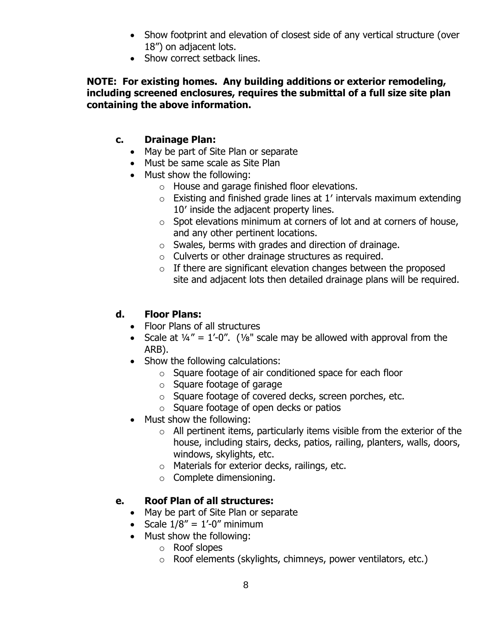- Show footprint and elevation of closest side of any vertical structure (over 18") on adjacent lots.
- Show correct setback lines.

#### **NOTE: For existing homes. Any building additions or exterior remodeling, including screened enclosures, requires the submittal of a full size site plan containing the above information.**

#### **c. Drainage Plan:**

- May be part of Site Plan or separate
- Must be same scale as Site Plan
- Must show the following:
	- o House and garage finished floor elevations.
	- $\circ$  Existing and finished grade lines at 1' intervals maximum extending 10′ inside the adjacent property lines.
	- $\circ$  Spot elevations minimum at corners of lot and at corners of house, and any other pertinent locations.
	- o Swales, berms with grades and direction of drainage.
	- o Culverts or other drainage structures as required.
	- $\circ$  If there are significant elevation changes between the proposed site and adjacent lots then detailed drainage plans will be required.

#### **d. Floor Plans:**

- Floor Plans of all structures
- Scale at  $\frac{1}{4}$ " = 1'-0". (1/<sub>8</sub>" scale may be allowed with approval from the ARB).
- Show the following calculations:
	- o Square footage of air conditioned space for each floor
	- o Square footage of garage
	- o Square footage of covered decks, screen porches, etc.
	- o Square footage of open decks or patios
- Must show the following:
	- $\circ$  All pertinent items, particularly items visible from the exterior of the house, including stairs, decks, patios, railing, planters, walls, doors, windows, skylights, etc.
	- o Materials for exterior decks, railings, etc.
	- o Complete dimensioning.

#### **e. Roof Plan of all structures:**

- May be part of Site Plan or separate
- Scale  $1/8'' = 1'-0''$  minimum
- Must show the following:
	- o Roof slopes
	- o Roof elements (skylights, chimneys, power ventilators, etc.)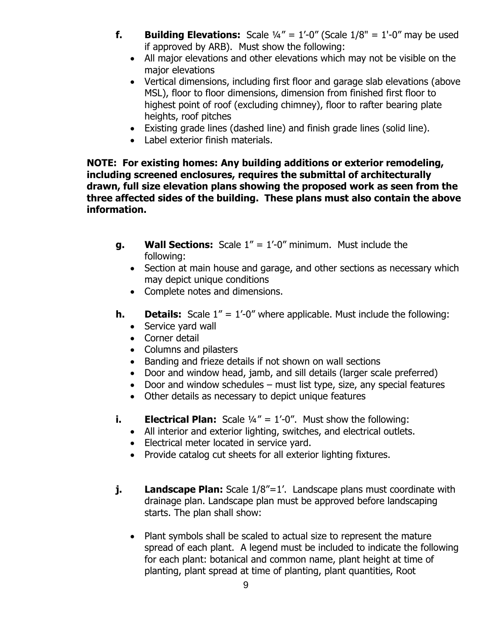- **f. Building Elevations:** Scale  $\frac{1}{4}$ " =  $1'-0$ " (Scale  $1/8$ " =  $1'-0$ " may be used if approved by ARB). Must show the following:
	- All major elevations and other elevations which may not be visible on the major elevations
	- Vertical dimensions, including first floor and garage slab elevations (above MSL), floor to floor dimensions, dimension from finished first floor to highest point of roof (excluding chimney), floor to rafter bearing plate heights, roof pitches
	- Existing grade lines (dashed line) and finish grade lines (solid line).
	- Label exterior finish materials.

**NOTE: For existing homes: Any building additions or exterior remodeling, including screened enclosures, requires the submittal of architecturally drawn, full size elevation plans showing the proposed work as seen from the three affected sides of the building. These plans must also contain the above information.**

- **g. Wall Sections:** Scale 1" = 1'-0" minimum. Must include the following:
	- Section at main house and garage, and other sections as necessary which may depict unique conditions
	- Complete notes and dimensions.
- **h. Details:** Scale 1" = 1'-0" where applicable. Must include the following:
	- Service yard wall
	- Corner detail
	- Columns and pilasters
	- Banding and frieze details if not shown on wall sections
	- Door and window head, jamb, and sill details (larger scale preferred)
	- Door and window schedules must list type, size, any special features
	- Other details as necessary to depict unique features
- **i. Electrical Plan:** Scale  $\frac{1}{4}$ " = 1'-0". Must show the following:
	- All interior and exterior lighting, switches, and electrical outlets.
	- Electrical meter located in service yard.
	- Provide catalog cut sheets for all exterior lighting fixtures.
- **j. Landscape Plan:** Scale 1/8"=1'. Landscape plans must coordinate with drainage plan. Landscape plan must be approved before landscaping starts. The plan shall show:
	- Plant symbols shall be scaled to actual size to represent the mature spread of each plant. A legend must be included to indicate the following for each plant: botanical and common name, plant height at time of planting, plant spread at time of planting, plant quantities, Root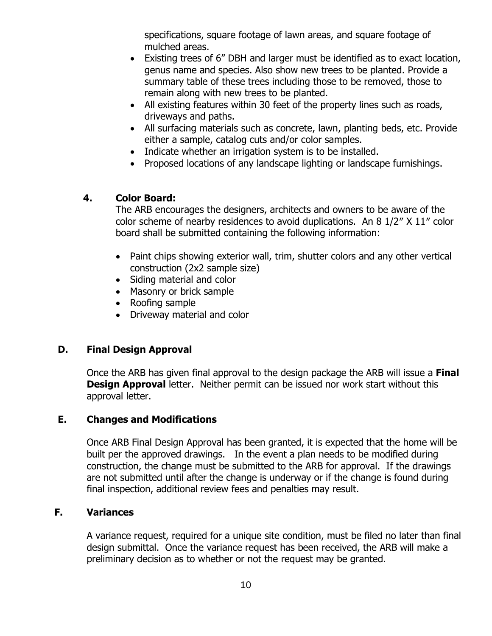specifications, square footage of lawn areas, and square footage of mulched areas.

- Existing trees of 6" DBH and larger must be identified as to exact location, genus name and species. Also show new trees to be planted. Provide a summary table of these trees including those to be removed, those to remain along with new trees to be planted.
- All existing features within 30 feet of the property lines such as roads, driveways and paths.
- All surfacing materials such as concrete, lawn, planting beds, etc. Provide either a sample, catalog cuts and/or color samples.
- Indicate whether an irrigation system is to be installed.
- Proposed locations of any landscape lighting or landscape furnishings.

#### **4. Color Board:**

The ARB encourages the designers, architects and owners to be aware of the color scheme of nearby residences to avoid duplications. An 8 1/2″ X 11″ color board shall be submitted containing the following information:

- Paint chips showing exterior wall, trim, shutter colors and any other vertical construction (2x2 sample size)
- Siding material and color
- Masonry or brick sample
- Roofing sample
- Driveway material and color

#### **D. Final Design Approval**

Once the ARB has given final approval to the design package the ARB will issue a **Final Design Approval** letter. Neither permit can be issued nor work start without this approval letter.

#### **E. Changes and Modifications**

Once ARB Final Design Approval has been granted, it is expected that the home will be built per the approved drawings. In the event a plan needs to be modified during construction, the change must be submitted to the ARB for approval. If the drawings are not submitted until after the change is underway or if the change is found during final inspection, additional review fees and penalties may result.

#### **F. Variances**

A variance request, required for a unique site condition, must be filed no later than final design submittal. Once the variance request has been received, the ARB will make a preliminary decision as to whether or not the request may be granted.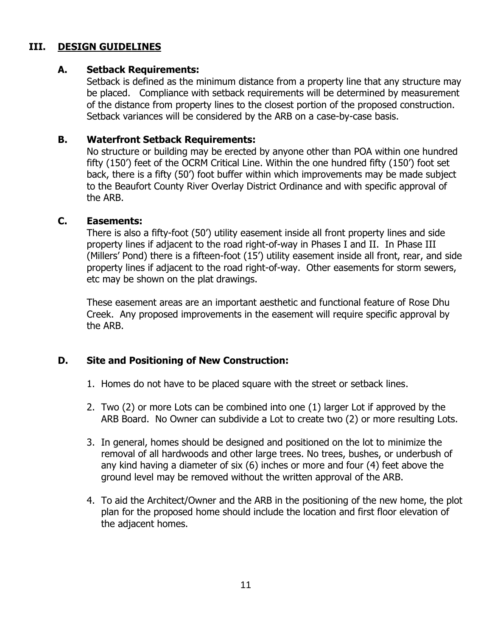#### **III. DESIGN GUIDELINES**

#### **A. Setback Requirements:**

Setback is defined as the minimum distance from a property line that any structure may be placed. Compliance with setback requirements will be determined by measurement of the distance from property lines to the closest portion of the proposed construction. Setback variances will be considered by the ARB on a case-by-case basis.

#### **B. Waterfront Setback Requirements:**

No structure or building may be erected by anyone other than POA within one hundred fifty (150') feet of the OCRM Critical Line. Within the one hundred fifty (150') foot set back, there is a fifty (50') foot buffer within which improvements may be made subject to the Beaufort County River Overlay District Ordinance and with specific approval of the ARB.

#### **C. Easements:**

There is also a fifty-foot (50') utility easement inside all front property lines and side property lines if adjacent to the road right-of-way in Phases I and II. In Phase III (Millers' Pond) there is a fifteen-foot (15') utility easement inside all front, rear, and side property lines if adjacent to the road right-of-way. Other easements for storm sewers, etc may be shown on the plat drawings.

These easement areas are an important aesthetic and functional feature of Rose Dhu Creek. Any proposed improvements in the easement will require specific approval by the ARB.

#### **D. Site and Positioning of New Construction:**

- 1. Homes do not have to be placed square with the street or setback lines.
- 2. Two (2) or more Lots can be combined into one (1) larger Lot if approved by the ARB Board. No Owner can subdivide a Lot to create two (2) or more resulting Lots.
- 3. In general, homes should be designed and positioned on the lot to minimize the removal of all hardwoods and other large trees. No trees, bushes, or underbush of any kind having a diameter of six (6) inches or more and four (4) feet above the ground level may be removed without the written approval of the ARB.
- 4. To aid the Architect/Owner and the ARB in the positioning of the new home, the plot plan for the proposed home should include the location and first floor elevation of the adjacent homes.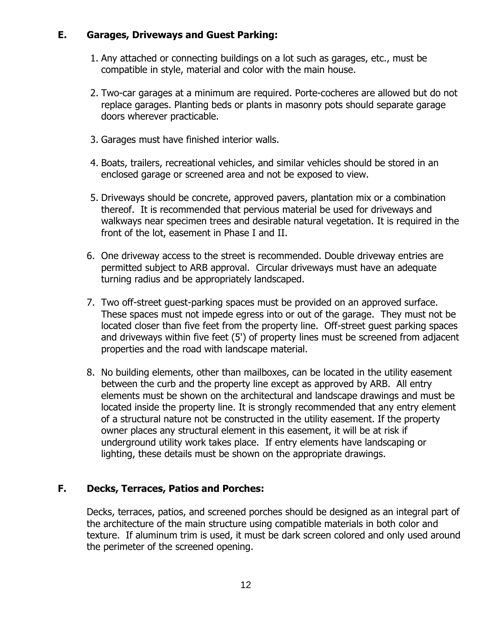#### **E. Garages, Driveways and Guest Parking:**

- 1. Any attached or connecting buildings on a lot such as garages, etc., must be compatible in style, material and color with the main house.
- 2. Two-car garages at a minimum are required. Porte-cocheres are allowed but do not replace garages. Planting beds or plants in masonry pots should separate garage doors wherever practicable.
- 3. Garages must have finished interior walls.
- 4. Boats, trailers, recreational vehicles, and similar vehicles should be stored in an enclosed garage or screened area and not be exposed to view.
- 5. Driveways should be concrete, approved pavers, plantation mix or a combination thereof. It is recommended that pervious material be used for driveways and walkways near specimen trees and desirable natural vegetation. It is required in the front of the lot, easement in Phase I and II.
- 6. One driveway access to the street is recommended. Double driveway entries are permitted subject to ARB approval. Circular driveways must have an adequate turning radius and be appropriately landscaped.
- 7. Two off-street guest-parking spaces must be provided on an approved surface. These spaces must not impede egress into or out of the garage. They must not be located closer than five feet from the property line. Off-street guest parking spaces and driveways within five feet (5') of property lines must be screened from adjacent properties and the road with landscape material.
- 8. No building elements, other than mailboxes, can be located in the utility easement between the curb and the property line except as approved by ARB. All entry elements must be shown on the architectural and landscape drawings and must be located inside the property line. It is strongly recommended that any entry element of a structural nature not be constructed in the utility easement. If the property owner places any structural element in this easement, it will be at risk if underground utility work takes place. If entry elements have landscaping or lighting, these details must be shown on the appropriate drawings.

#### **F. Decks, Terraces, Patios and Porches:**

Decks, terraces, patios, and screened porches should be designed as an integral part of the architecture of the main structure using compatible materials in both color and texture. If aluminum trim is used, it must be dark screen colored and only used around the perimeter of the screened opening.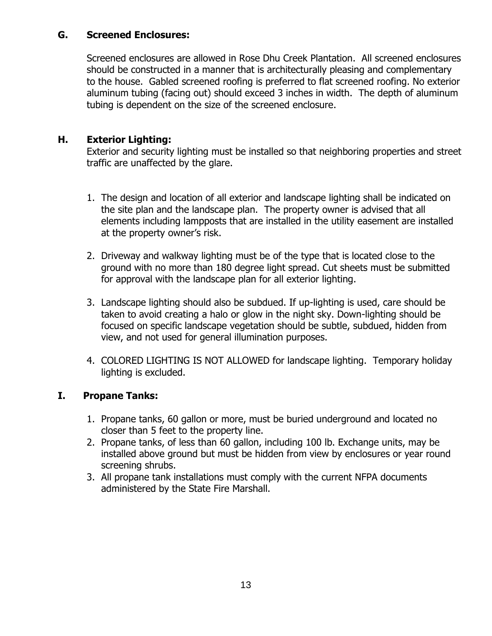#### **G. Screened Enclosures:**

Screened enclosures are allowed in Rose Dhu Creek Plantation. All screened enclosures should be constructed in a manner that is architecturally pleasing and complementary to the house. Gabled screened roofing is preferred to flat screened roofing. No exterior aluminum tubing (facing out) should exceed 3 inches in width. The depth of aluminum tubing is dependent on the size of the screened enclosure.

#### **H. Exterior Lighting:**

Exterior and security lighting must be installed so that neighboring properties and street traffic are unaffected by the glare.

- 1. The design and location of all exterior and landscape lighting shall be indicated on the site plan and the landscape plan. The property owner is advised that all elements including lampposts that are installed in the utility easement are installed at the property owner's risk.
- 2. Driveway and walkway lighting must be of the type that is located close to the ground with no more than 180 degree light spread. Cut sheets must be submitted for approval with the landscape plan for all exterior lighting.
- 3. Landscape lighting should also be subdued. If up-lighting is used, care should be taken to avoid creating a halo or glow in the night sky. Down-lighting should be focused on specific landscape vegetation should be subtle, subdued, hidden from view, and not used for general illumination purposes.
- 4. COLORED LIGHTING IS NOT ALLOWED for landscape lighting. Temporary holiday lighting is excluded.

#### **I. Propane Tanks:**

- 1. Propane tanks, 60 gallon or more, must be buried underground and located no closer than 5 feet to the property line.
- 2. Propane tanks, of less than 60 gallon, including 100 lb. Exchange units, may be installed above ground but must be hidden from view by enclosures or year round screening shrubs.
- 3. All propane tank installations must comply with the current NFPA documents administered by the State Fire Marshall.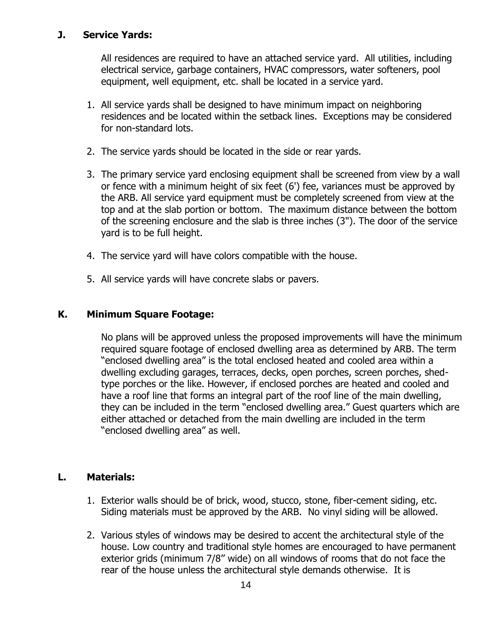#### **J. Service Yards:**

All residences are required to have an attached service yard. All utilities, including electrical service, garbage containers, HVAC compressors, water softeners, pool equipment, well equipment, etc. shall be located in a service yard.

- 1. All service yards shall be designed to have minimum impact on neighboring residences and be located within the setback lines. Exceptions may be considered for non-standard lots.
- 2. The service yards should be located in the side or rear yards.
- 3. The primary service yard enclosing equipment shall be screened from view by a wall or fence with a minimum height of six feet (6') fee, variances must be approved by the ARB. All service yard equipment must be completely screened from view at the top and at the slab portion or bottom. The maximum distance between the bottom of the screening enclosure and the slab is three inches (3"). The door of the service yard is to be full height.
- 4. The service yard will have colors compatible with the house.
- 5. All service yards will have concrete slabs or pavers.

#### **K. Minimum Square Footage:**

No plans will be approved unless the proposed improvements will have the minimum required square footage of enclosed dwelling area as determined by ARB. The term "enclosed dwelling area" is the total enclosed heated and cooled area within a dwelling excluding garages, terraces, decks, open porches, screen porches, shedtype porches or the like. However, if enclosed porches are heated and cooled and have a roof line that forms an integral part of the roof line of the main dwelling, they can be included in the term "enclosed dwelling area." Guest quarters which are either attached or detached from the main dwelling are included in the term "enclosed dwelling area" as well.

#### **L. Materials:**

- 1. Exterior walls should be of brick, wood, stucco, stone, fiber-cement siding, etc. Siding materials must be approved by the ARB. No vinyl siding will be allowed.
- 2. Various styles of windows may be desired to accent the architectural style of the house. Low country and traditional style homes are encouraged to have permanent exterior grids (minimum 7/8'' wide) on all windows of rooms that do not face the rear of the house unless the architectural style demands otherwise. It is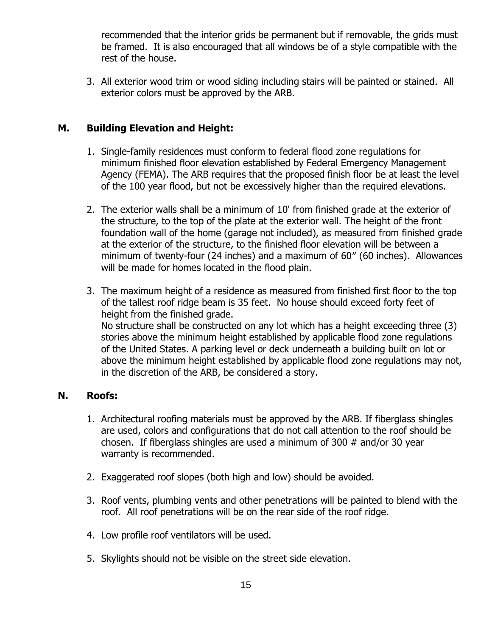recommended that the interior grids be permanent but if removable, the grids must be framed. It is also encouraged that all windows be of a style compatible with the rest of the house.

3. All exterior wood trim or wood siding including stairs will be painted or stained. All exterior colors must be approved by the ARB.

#### **M. Building Elevation and Height:**

- 1. Single-family residences must conform to federal flood zone regulations for minimum finished floor elevation established by Federal Emergency Management Agency (FEMA). The ARB requires that the proposed finish floor be at least the level of the 100 year flood, but not be excessively higher than the required elevations.
- 2. The exterior walls shall be a minimum of 10' from finished grade at the exterior of the structure, to the top of the plate at the exterior wall. The height of the front foundation wall of the home (garage not included), as measured from finished grade at the exterior of the structure, to the finished floor elevation will be between a minimum of twenty-four (24 inches) and a maximum of 60″ (60 inches). Allowances will be made for homes located in the flood plain.
- 3. The maximum height of a residence as measured from finished first floor to the top of the tallest roof ridge beam is 35 feet. No house should exceed forty feet of height from the finished grade. No structure shall be constructed on any lot which has a height exceeding three (3) stories above the minimum height established by applicable flood zone regulations of the United States. A parking level or deck underneath a building built on lot or above the minimum height established by applicable flood zone regulations may not, in the discretion of the ARB, be considered a story.

#### **N. Roofs:**

- 1. Architectural roofing materials must be approved by the ARB. If fiberglass shingles are used, colors and configurations that do not call attention to the roof should be chosen. If fiberglass shingles are used a minimum of 300 # and/or 30 year warranty is recommended.
- 2. Exaggerated roof slopes (both high and low) should be avoided.
- 3. Roof vents, plumbing vents and other penetrations will be painted to blend with the roof. All roof penetrations will be on the rear side of the roof ridge.
- 4. Low profile roof ventilators will be used.
- 5. Skylights should not be visible on the street side elevation.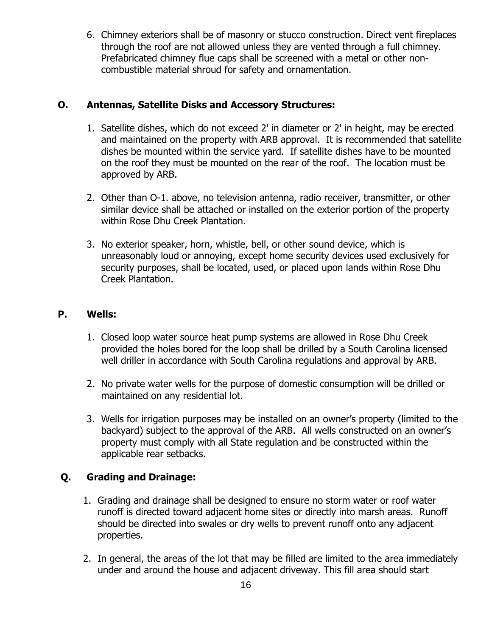6. Chimney exteriors shall be of masonry or stucco construction. Direct vent fireplaces through the roof are not allowed unless they are vented through a full chimney. Prefabricated chimney flue caps shall be screened with a metal or other noncombustible material shroud for safety and ornamentation.

#### **O. Antennas, Satellite Disks and Accessory Structures:**

- 1. Satellite dishes, which do not exceed 2' in diameter or 2' in height, may be erected and maintained on the property with ARB approval. It is recommended that satellite dishes be mounted within the service yard. If satellite dishes have to be mounted on the roof they must be mounted on the rear of the roof. The location must be approved by ARB.
- 2. Other than O-1. above, no television antenna, radio receiver, transmitter, or other similar device shall be attached or installed on the exterior portion of the property within Rose Dhu Creek Plantation.
- 3. No exterior speaker, horn, whistle, bell, or other sound device, which is unreasonably loud or annoying, except home security devices used exclusively for security purposes, shall be located, used, or placed upon lands within Rose Dhu Creek Plantation.

#### **P. Wells:**

- 1. Closed loop water source heat pump systems are allowed in Rose Dhu Creek provided the holes bored for the loop shall be drilled by a South Carolina licensed well driller in accordance with South Carolina regulations and approval by ARB.
- 2. No private water wells for the purpose of domestic consumption will be drilled or maintained on any residential lot.
- 3. Wells for irrigation purposes may be installed on an owner's property (limited to the backyard) subject to the approval of the ARB. All wells constructed on an owner's property must comply with all State regulation and be constructed within the applicable rear setbacks.

#### **Q. Grading and Drainage:**

- 1. Grading and drainage shall be designed to ensure no storm water or roof water runoff is directed toward adjacent home sites or directly into marsh areas. Runoff should be directed into swales or dry wells to prevent runoff onto any adjacent properties.
- 2. In general, the areas of the lot that may be filled are limited to the area immediately under and around the house and adjacent driveway. This fill area should start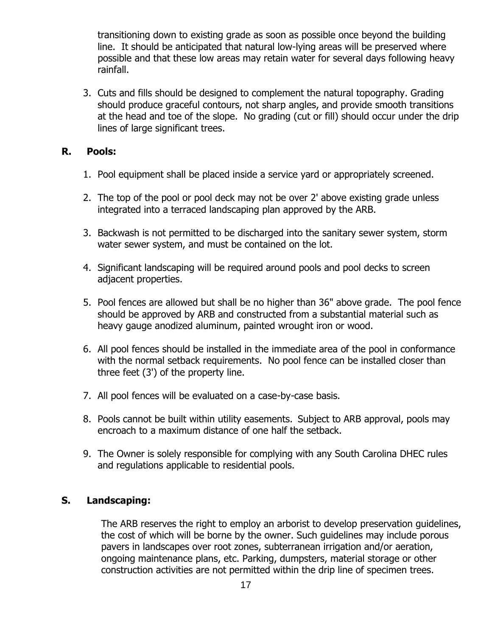transitioning down to existing grade as soon as possible once beyond the building line. It should be anticipated that natural low-lying areas will be preserved where possible and that these low areas may retain water for several days following heavy rainfall.

3. Cuts and fills should be designed to complement the natural topography. Grading should produce graceful contours, not sharp angles, and provide smooth transitions at the head and toe of the slope. No grading (cut or fill) should occur under the drip lines of large significant trees.

#### **R. Pools:**

- 1. Pool equipment shall be placed inside a service yard or appropriately screened.
- 2. The top of the pool or pool deck may not be over 2' above existing grade unless integrated into a terraced landscaping plan approved by the ARB.
- 3. Backwash is not permitted to be discharged into the sanitary sewer system, storm water sewer system, and must be contained on the lot.
- 4. Significant landscaping will be required around pools and pool decks to screen adjacent properties.
- 5. Pool fences are allowed but shall be no higher than 36" above grade. The pool fence should be approved by ARB and constructed from a substantial material such as heavy gauge anodized aluminum, painted wrought iron or wood.
- 6. All pool fences should be installed in the immediate area of the pool in conformance with the normal setback requirements. No pool fence can be installed closer than three feet (3') of the property line.
- 7. All pool fences will be evaluated on a case-by-case basis.
- 8. Pools cannot be built within utility easements. Subject to ARB approval, pools may encroach to a maximum distance of one half the setback.
- 9. The Owner is solely responsible for complying with any South Carolina DHEC rules and regulations applicable to residential pools.

#### **S. Landscaping:**

The ARB reserves the right to employ an arborist to develop preservation guidelines, the cost of which will be borne by the owner. Such guidelines may include porous pavers in landscapes over root zones, subterranean irrigation and/or aeration, ongoing maintenance plans, etc. Parking, dumpsters, material storage or other construction activities are not permitted within the drip line of specimen trees.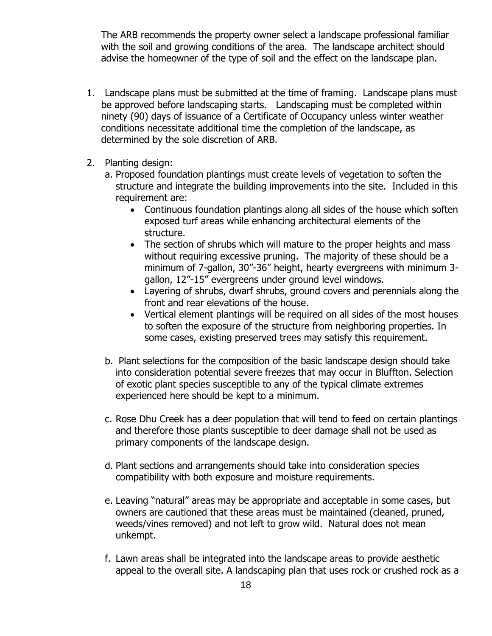The ARB recommends the property owner select a landscape professional familiar with the soil and growing conditions of the area. The landscape architect should advise the homeowner of the type of soil and the effect on the landscape plan.

- 1. Landscape plans must be submitted at the time of framing. Landscape plans must be approved before landscaping starts. Landscaping must be completed within ninety (90) days of issuance of a Certificate of Occupancy unless winter weather conditions necessitate additional time the completion of the landscape, as determined by the sole discretion of ARB.
- 2. Planting design:
	- a. Proposed foundation plantings must create levels of vegetation to soften the structure and integrate the building improvements into the site. Included in this requirement are:
		- Continuous foundation plantings along all sides of the house which soften exposed turf areas while enhancing architectural elements of the structure.
		- The section of shrubs which will mature to the proper heights and mass without requiring excessive pruning. The majority of these should be a minimum of 7-gallon, 30"-36" height, hearty evergreens with minimum 3 gallon, 12"-15" evergreens under ground level windows.
		- Layering of shrubs, dwarf shrubs, ground covers and perennials along the front and rear elevations of the house.
		- Vertical element plantings will be required on all sides of the most houses to soften the exposure of the structure from neighboring properties. In some cases, existing preserved trees may satisfy this requirement.
	- b. Plant selections for the composition of the basic landscape design should take into consideration potential severe freezes that may occur in Bluffton. Selection of exotic plant species susceptible to any of the typical climate extremes experienced here should be kept to a minimum.
	- c. Rose Dhu Creek has a deer population that will tend to feed on certain plantings and therefore those plants susceptible to deer damage shall not be used as primary components of the landscape design.
	- d. Plant sections and arrangements should take into consideration species compatibility with both exposure and moisture requirements.
	- e. Leaving "natural" areas may be appropriate and acceptable in some cases, but owners are cautioned that these areas must be maintained (cleaned, pruned, weeds/vines removed) and not left to grow wild. Natural does not mean unkempt.
	- f. Lawn areas shall be integrated into the landscape areas to provide aesthetic appeal to the overall site. A landscaping plan that uses rock or crushed rock as a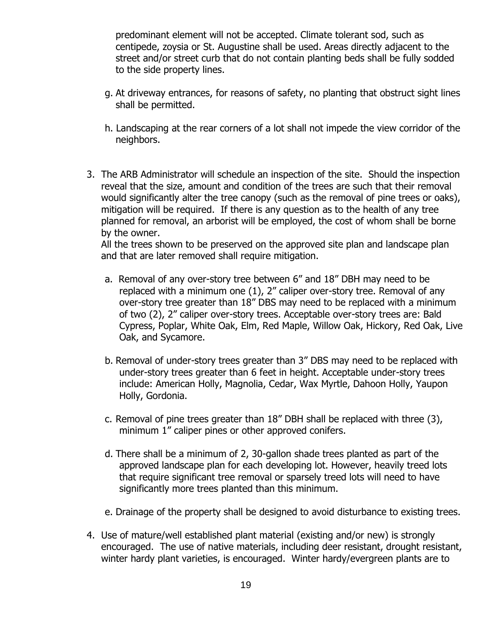predominant element will not be accepted. Climate tolerant sod, such as centipede, zoysia or St. Augustine shall be used. Areas directly adjacent to the street and/or street curb that do not contain planting beds shall be fully sodded to the side property lines.

- g. At driveway entrances, for reasons of safety, no planting that obstruct sight lines shall be permitted.
- h. Landscaping at the rear corners of a lot shall not impede the view corridor of the neighbors.
- 3. The ARB Administrator will schedule an inspection of the site. Should the inspection reveal that the size, amount and condition of the trees are such that their removal would significantly alter the tree canopy (such as the removal of pine trees or oaks), mitigation will be required. If there is any question as to the health of any tree planned for removal, an arborist will be employed, the cost of whom shall be borne by the owner.

All the trees shown to be preserved on the approved site plan and landscape plan and that are later removed shall require mitigation.

- a. Removal of any over-story tree between 6" and 18" DBH may need to be replaced with a minimum one (1), 2" caliper over-story tree. Removal of any over-story tree greater than 18" DBS may need to be replaced with a minimum of two (2), 2" caliper over-story trees. Acceptable over-story trees are: Bald Cypress, Poplar, White Oak, Elm, Red Maple, Willow Oak, Hickory, Red Oak, Live Oak, and Sycamore.
- b. Removal of under-story trees greater than 3" DBS may need to be replaced with under-story trees greater than 6 feet in height. Acceptable under-story trees include: American Holly, Magnolia, Cedar, Wax Myrtle, Dahoon Holly, Yaupon Holly, Gordonia.
- c. Removal of pine trees greater than 18" DBH shall be replaced with three (3), minimum 1" caliper pines or other approved conifers.
- d. There shall be a minimum of 2, 30-gallon shade trees planted as part of the approved landscape plan for each developing lot. However, heavily treed lots that require significant tree removal or sparsely treed lots will need to have significantly more trees planted than this minimum.
- e. Drainage of the property shall be designed to avoid disturbance to existing trees.
- 4. Use of mature/well established plant material (existing and/or new) is strongly encouraged. The use of native materials, including deer resistant, drought resistant, winter hardy plant varieties, is encouraged. Winter hardy/evergreen plants are to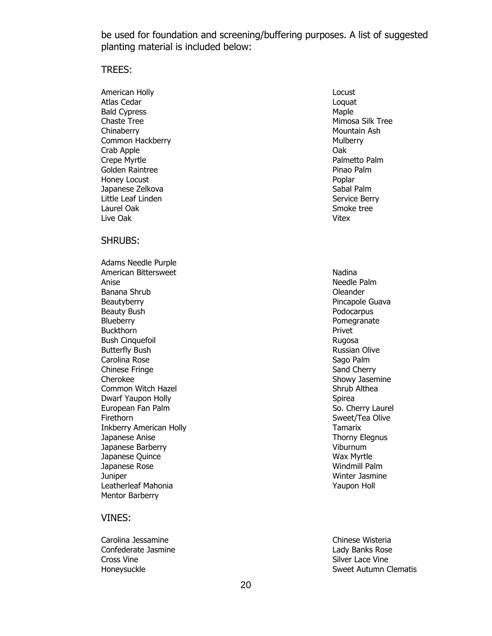be used for foundation and screening/buffering purposes. A list of suggested planting material is included below:

#### TREES:

American Holly Atlas Cedar Bald Cypress Chaste Tree Chinaberry Common Hackberry Crab Apple Crepe Myrtle Golden Raintree Honey Locust Japanese Zelkova Little Leaf Linden Laurel Oak Live Oak

#### SHRUBS:

Adams Needle Purple American Bittersweet Anise Banana Shrub **Beautyberry** Beauty Bush **Blueberry Buckthorn** Bush Cinquefoil Butterfly Bush Carolina Rose Chinese Fringe Cherokee Common Witch Hazel Dwarf Yaupon Holly European Fan Palm Firethorn Inkberry American Holly Japanese Anise Japanese Barberry Japanese Quince Japanese Rose **Juniper** Leatherleaf Mahonia Mentor Barberry

#### VINES:

Carolina Jessamine **Carolina Jessamine** Chinese Wisteria Confederate Jasmine Cross Vine Honeysuckle

Locust Loquat Maple Mimosa Silk Tree Mountain Ash **Mulberry** Oak Palmetto Palm Pinao Palm Poplar Sabal Palm Service Berry Smoke tree Vitex

Nadina Needle Palm Oleander Pincapole Guava Podocarpus Pomegranate Privet Rugosa Russian Olive Sago Palm Sand Cherry Showy Jasemine Shrub Althea Spirea So. Cherry Laurel Sweet/Tea Olive Tamarix Thorny Elegnus Viburnum Wax Myrtle Windmill Palm Winter Jasmine Yaupon Holl

Lady Banks Rose Silver Lace Vine Sweet Autumn Clematis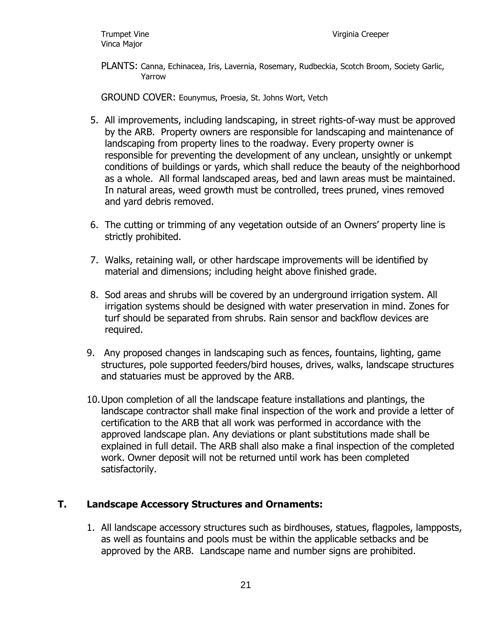PLANTS: Canna, Echinacea, Iris, Lavernia, Rosemary, Rudbeckia, Scotch Broom, Society Garlic, Yarrow

GROUND COVER: Eounymus, Proesia, St. Johns Wort, Vetch

- 5. All improvements, including landscaping, in street rights-of-way must be approved by the ARB. Property owners are responsible for landscaping and maintenance of landscaping from property lines to the roadway. Every property owner is responsible for preventing the development of any unclean, unsightly or unkempt conditions of buildings or yards, which shall reduce the beauty of the neighborhood as a whole. All formal landscaped areas, bed and lawn areas must be maintained. In natural areas, weed growth must be controlled, trees pruned, vines removed and yard debris removed.
- 6. The cutting or trimming of any vegetation outside of an Owners' property line is strictly prohibited.
- 7. Walks, retaining wall, or other hardscape improvements will be identified by material and dimensions; including height above finished grade.
- 8. Sod areas and shrubs will be covered by an underground irrigation system. All irrigation systems should be designed with water preservation in mind. Zones for turf should be separated from shrubs. Rain sensor and backflow devices are required.
- 9. Any proposed changes in landscaping such as fences, fountains, lighting, game structures, pole supported feeders/bird houses, drives, walks, landscape structures and statuaries must be approved by the ARB.
- 10.Upon completion of all the landscape feature installations and plantings, the landscape contractor shall make final inspection of the work and provide a letter of certification to the ARB that all work was performed in accordance with the approved landscape plan. Any deviations or plant substitutions made shall be explained in full detail. The ARB shall also make a final inspection of the completed work. Owner deposit will not be returned until work has been completed satisfactorily.

#### **T. Landscape Accessory Structures and Ornaments:**

1. All landscape accessory structures such as birdhouses, statues, flagpoles, lampposts, as well as fountains and pools must be within the applicable setbacks and be approved by the ARB. Landscape name and number signs are prohibited.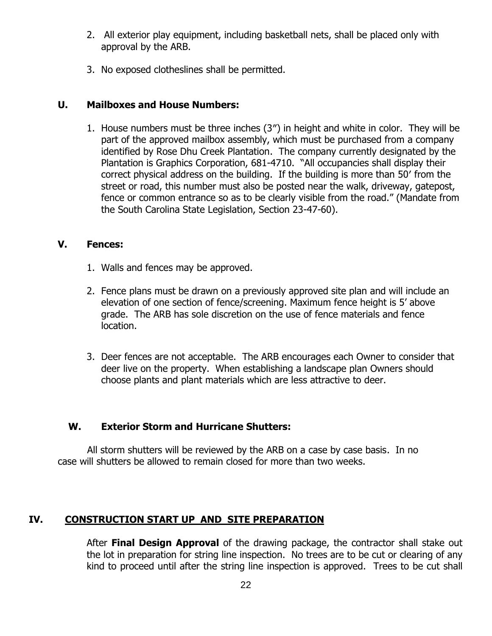- 2. All exterior play equipment, including basketball nets, shall be placed only with approval by the ARB.
- 3. No exposed clotheslines shall be permitted.

#### **U. Mailboxes and House Numbers:**

1. House numbers must be three inches (3″) in height and white in color. They will be part of the approved mailbox assembly, which must be purchased from a company identified by Rose Dhu Creek Plantation. The company currently designated by the Plantation is Graphics Corporation, 681-4710. "All occupancies shall display their correct physical address on the building. If the building is more than 50′ from the street or road, this number must also be posted near the walk, driveway, gatepost, fence or common entrance so as to be clearly visible from the road." (Mandate from the South Carolina State Legislation, Section 23-47-60).

#### **V. Fences:**

- 1. Walls and fences may be approved.
- 2. Fence plans must be drawn on a previously approved site plan and will include an elevation of one section of fence/screening. Maximum fence height is 5' above grade. The ARB has sole discretion on the use of fence materials and fence location.
- 3. Deer fences are not acceptable. The ARB encourages each Owner to consider that deer live on the property. When establishing a landscape plan Owners should choose plants and plant materials which are less attractive to deer.

#### **W. Exterior Storm and Hurricane Shutters:**

 All storm shutters will be reviewed by the ARB on a case by case basis. In no case will shutters be allowed to remain closed for more than two weeks.

#### **IV. CONSTRUCTION START UP AND SITE PREPARATION**

After **Final Design Approval** of the drawing package, the contractor shall stake out the lot in preparation for string line inspection. No trees are to be cut or clearing of any kind to proceed until after the string line inspection is approved. Trees to be cut shall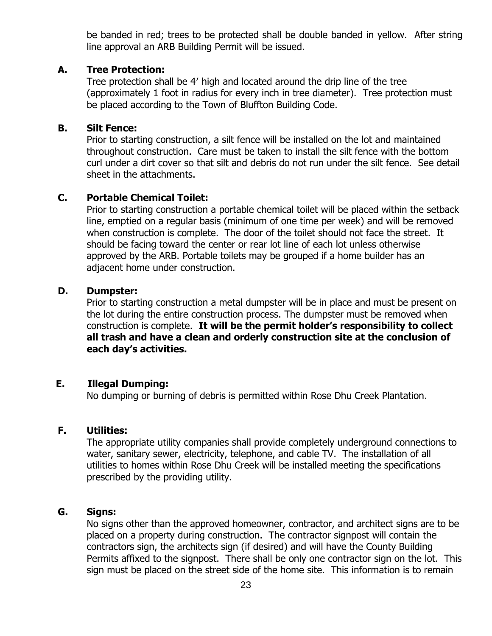be banded in red; trees to be protected shall be double banded in yellow. After string line approval an ARB Building Permit will be issued.

#### **A. Tree Protection:**

Tree protection shall be 4′ high and located around the drip line of the tree (approximately 1 foot in radius for every inch in tree diameter). Tree protection must be placed according to the Town of Bluffton Building Code.

#### **B. Silt Fence:**

Prior to starting construction, a silt fence will be installed on the lot and maintained throughout construction. Care must be taken to install the silt fence with the bottom curl under a dirt cover so that silt and debris do not run under the silt fence. See detail sheet in the attachments.

#### **C. Portable Chemical Toilet:**

Prior to starting construction a portable chemical toilet will be placed within the setback line, emptied on a regular basis (minimum of one time per week) and will be removed when construction is complete. The door of the toilet should not face the street. It should be facing toward the center or rear lot line of each lot unless otherwise approved by the ARB. Portable toilets may be grouped if a home builder has an adjacent home under construction.

#### **D. Dumpster:**

Prior to starting construction a metal dumpster will be in place and must be present on the lot during the entire construction process. The dumpster must be removed when construction is complete. **It will be the permit holder's responsibility to collect all trash and have a clean and orderly construction site at the conclusion of each day's activities.**

#### **E. Illegal Dumping:**

No dumping or burning of debris is permitted within Rose Dhu Creek Plantation.

#### **F. Utilities:**

The appropriate utility companies shall provide completely underground connections to water, sanitary sewer, electricity, telephone, and cable TV. The installation of all utilities to homes within Rose Dhu Creek will be installed meeting the specifications prescribed by the providing utility.

#### **G. Signs:**

No signs other than the approved homeowner, contractor, and architect signs are to be placed on a property during construction. The contractor signpost will contain the contractors sign, the architects sign (if desired) and will have the County Building Permits affixed to the signpost. There shall be only one contractor sign on the lot. This sign must be placed on the street side of the home site. This information is to remain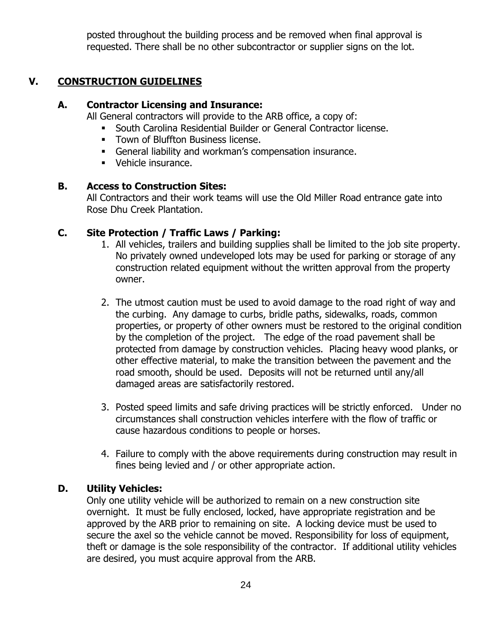posted throughout the building process and be removed when final approval is requested. There shall be no other subcontractor or supplier signs on the lot.

#### **V. CONSTRUCTION GUIDELINES**

#### **A. Contractor Licensing and Insurance:**

All General contractors will provide to the ARB office, a copy of:

- South Carolina Residential Builder or General Contractor license.
- **Town of Bluffton Business license.**
- General liability and workman's compensation insurance.
- Vehicle insurance.

#### **B. Access to Construction Sites:**

All Contractors and their work teams will use the Old Miller Road entrance gate into Rose Dhu Creek Plantation.

#### **C. Site Protection / Traffic Laws / Parking:**

- 1. All vehicles, trailers and building supplies shall be limited to the job site property. No privately owned undeveloped lots may be used for parking or storage of any construction related equipment without the written approval from the property owner.
- 2. The utmost caution must be used to avoid damage to the road right of way and the curbing. Any damage to curbs, bridle paths, sidewalks, roads, common properties, or property of other owners must be restored to the original condition by the completion of the project. The edge of the road pavement shall be protected from damage by construction vehicles. Placing heavy wood planks, or other effective material, to make the transition between the pavement and the road smooth, should be used. Deposits will not be returned until any/all damaged areas are satisfactorily restored.
- 3. Posted speed limits and safe driving practices will be strictly enforced. Under no circumstances shall construction vehicles interfere with the flow of traffic or cause hazardous conditions to people or horses.
- 4. Failure to comply with the above requirements during construction may result in fines being levied and / or other appropriate action.

#### **D. Utility Vehicles:**

Only one utility vehicle will be authorized to remain on a new construction site overnight. It must be fully enclosed, locked, have appropriate registration and be approved by the ARB prior to remaining on site. A locking device must be used to secure the axel so the vehicle cannot be moved. Responsibility for loss of equipment, theft or damage is the sole responsibility of the contractor. If additional utility vehicles are desired, you must acquire approval from the ARB.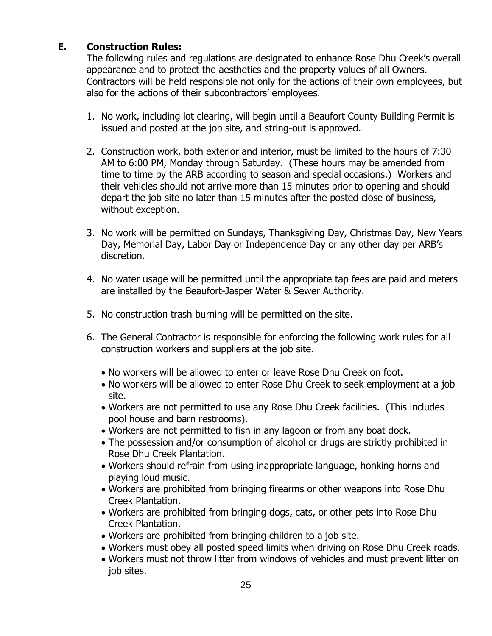#### **E. Construction Rules:**

The following rules and regulations are designated to enhance Rose Dhu Creek's overall appearance and to protect the aesthetics and the property values of all Owners. Contractors will be held responsible not only for the actions of their own employees, but also for the actions of their subcontractors' employees.

- 1. No work, including lot clearing, will begin until a Beaufort County Building Permit is issued and posted at the job site, and string-out is approved.
- 2. Construction work, both exterior and interior, must be limited to the hours of 7:30 AM to 6:00 PM, Monday through Saturday. (These hours may be amended from time to time by the ARB according to season and special occasions.) Workers and their vehicles should not arrive more than 15 minutes prior to opening and should depart the job site no later than 15 minutes after the posted close of business, without exception.
- 3. No work will be permitted on Sundays, Thanksgiving Day, Christmas Day, New Years Day, Memorial Day, Labor Day or Independence Day or any other day per ARB's discretion.
- 4. No water usage will be permitted until the appropriate tap fees are paid and meters are installed by the Beaufort-Jasper Water & Sewer Authority.
- 5. No construction trash burning will be permitted on the site.
- 6. The General Contractor is responsible for enforcing the following work rules for all construction workers and suppliers at the job site.
	- No workers will be allowed to enter or leave Rose Dhu Creek on foot.
	- No workers will be allowed to enter Rose Dhu Creek to seek employment at a job site.
	- Workers are not permitted to use any Rose Dhu Creek facilities. (This includes pool house and barn restrooms).
	- Workers are not permitted to fish in any lagoon or from any boat dock.
	- The possession and/or consumption of alcohol or drugs are strictly prohibited in Rose Dhu Creek Plantation.
	- Workers should refrain from using inappropriate language, honking horns and playing loud music.
	- Workers are prohibited from bringing firearms or other weapons into Rose Dhu Creek Plantation.
	- Workers are prohibited from bringing dogs, cats, or other pets into Rose Dhu Creek Plantation.
	- Workers are prohibited from bringing children to a job site.
	- Workers must obey all posted speed limits when driving on Rose Dhu Creek roads.
	- Workers must not throw litter from windows of vehicles and must prevent litter on job sites.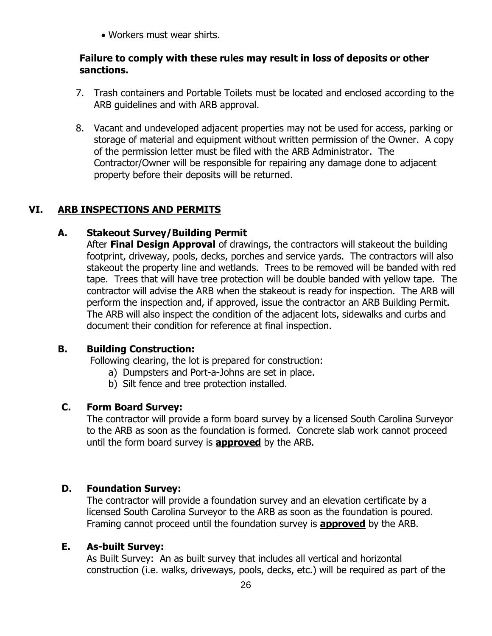Workers must wear shirts.

#### **Failure to comply with these rules may result in loss of deposits or other sanctions.**

- 7. Trash containers and Portable Toilets must be located and enclosed according to the ARB guidelines and with ARB approval.
- 8. Vacant and undeveloped adjacent properties may not be used for access, parking or storage of material and equipment without written permission of the Owner. A copy of the permission letter must be filed with the ARB Administrator. The Contractor/Owner will be responsible for repairing any damage done to adjacent property before their deposits will be returned.

#### **VI. ARB INSPECTIONS AND PERMITS**

#### **A. Stakeout Survey/Building Permit**

After **Final Design Approval** of drawings, the contractors will stakeout the building footprint, driveway, pools, decks, porches and service yards. The contractors will also stakeout the property line and wetlands. Trees to be removed will be banded with red tape. Trees that will have tree protection will be double banded with yellow tape. The contractor will advise the ARB when the stakeout is ready for inspection. The ARB will perform the inspection and, if approved, issue the contractor an ARB Building Permit. The ARB will also inspect the condition of the adjacent lots, sidewalks and curbs and document their condition for reference at final inspection.

#### **B. Building Construction:**

Following clearing, the lot is prepared for construction:

- a) Dumpsters and Port-a-Johns are set in place.
- b) Silt fence and tree protection installed.

#### **C. Form Board Survey:**

The contractor will provide a form board survey by a licensed South Carolina Surveyor to the ARB as soon as the foundation is formed. Concrete slab work cannot proceed until the form board survey is **approved** by the ARB.

#### **D. Foundation Survey:**

The contractor will provide a foundation survey and an elevation certificate by a licensed South Carolina Surveyor to the ARB as soon as the foundation is poured. Framing cannot proceed until the foundation survey is **approved** by the ARB.

#### **E. As-built Survey:**

As Built Survey: An as built survey that includes all vertical and horizontal construction (i.e. walks, driveways, pools, decks, etc.) will be required as part of the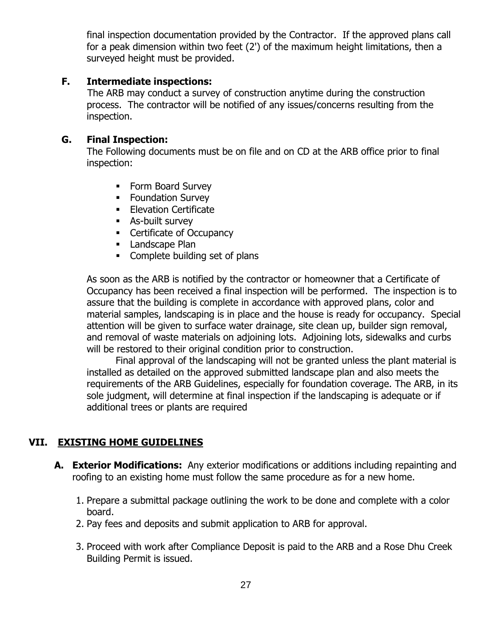final inspection documentation provided by the Contractor. If the approved plans call for a peak dimension within two feet (2') of the maximum height limitations, then a surveyed height must be provided.

#### **F. Intermediate inspections:**

The ARB may conduct a survey of construction anytime during the construction process. The contractor will be notified of any issues/concerns resulting from the inspection.

#### **G. Final Inspection:**

The Following documents must be on file and on CD at the ARB office prior to final inspection:

- Form Board Survey
- **Foundation Survey**
- **Elevation Certificate**
- As-built survey
- Certificate of Occupancy
- **Landscape Plan**
- Complete building set of plans

As soon as the ARB is notified by the contractor or homeowner that a Certificate of Occupancy has been received a final inspection will be performed. The inspection is to assure that the building is complete in accordance with approved plans, color and material samples, landscaping is in place and the house is ready for occupancy. Special attention will be given to surface water drainage, site clean up, builder sign removal, and removal of waste materials on adjoining lots. Adjoining lots, sidewalks and curbs will be restored to their original condition prior to construction.

 Final approval of the landscaping will not be granted unless the plant material is installed as detailed on the approved submitted landscape plan and also meets the requirements of the ARB Guidelines, especially for foundation coverage. The ARB, in its sole judgment, will determine at final inspection if the landscaping is adequate or if additional trees or plants are required

#### **VII. EXISTING HOME GUIDELINES**

- **A. Exterior Modifications:** Any exterior modifications or additions including repainting and roofing to an existing home must follow the same procedure as for a new home.
	- 1. Prepare a submittal package outlining the work to be done and complete with a color board.
	- 2. Pay fees and deposits and submit application to ARB for approval.
	- 3. Proceed with work after Compliance Deposit is paid to the ARB and a Rose Dhu Creek Building Permit is issued.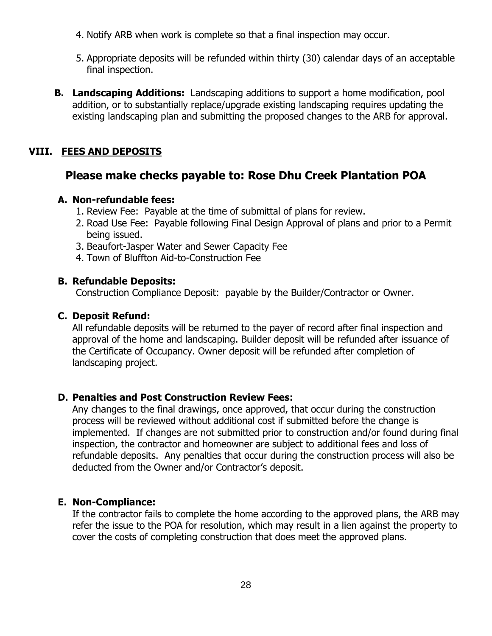- 4. Notify ARB when work is complete so that a final inspection may occur.
- 5. Appropriate deposits will be refunded within thirty (30) calendar days of an acceptable final inspection.
- **B. Landscaping Additions:** Landscaping additions to support a home modification, pool addition, or to substantially replace/upgrade existing landscaping requires updating the existing landscaping plan and submitting the proposed changes to the ARB for approval.

#### **VIII. FEES AND DEPOSITS**

### **Please make checks payable to: Rose Dhu Creek Plantation POA**

#### **A. Non-refundable fees:**

- 1. Review Fee: Payable at the time of submittal of plans for review.
- 2. Road Use Fee: Payable following Final Design Approval of plans and prior to a Permit being issued.
- 3. Beaufort-Jasper Water and Sewer Capacity Fee
- 4. Town of Bluffton Aid-to-Construction Fee

#### **B. Refundable Deposits:**

Construction Compliance Deposit: payable by the Builder/Contractor or Owner.

#### **C. Deposit Refund:**

All refundable deposits will be returned to the payer of record after final inspection and approval of the home and landscaping. Builder deposit will be refunded after issuance of the Certificate of Occupancy. Owner deposit will be refunded after completion of landscaping project.

#### **D. Penalties and Post Construction Review Fees:**

Any changes to the final drawings, once approved, that occur during the construction process will be reviewed without additional cost if submitted before the change is implemented. If changes are not submitted prior to construction and/or found during final inspection, the contractor and homeowner are subject to additional fees and loss of refundable deposits. Any penalties that occur during the construction process will also be deducted from the Owner and/or Contractor's deposit.

#### **E. Non-Compliance:**

If the contractor fails to complete the home according to the approved plans, the ARB may refer the issue to the POA for resolution, which may result in a lien against the property to cover the costs of completing construction that does meet the approved plans.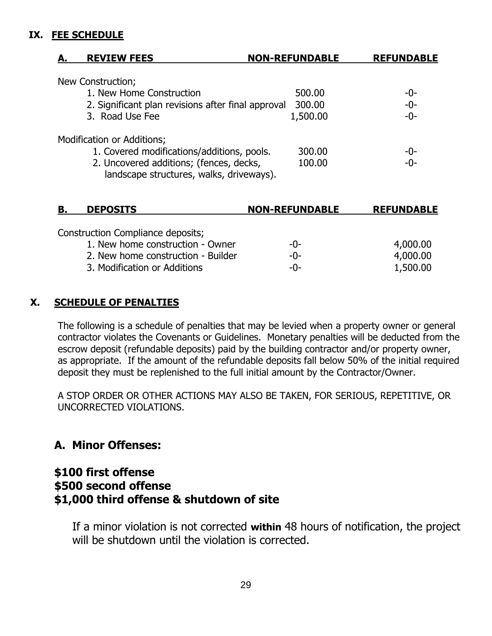#### **IX. FEE SCHEDULE**

| <b>REVIEW FEES</b>         | <b>NON-REFUNDABLE</b>                                                                         | <b>REFUNDABLE</b> |
|----------------------------|-----------------------------------------------------------------------------------------------|-------------------|
| New Construction;          |                                                                                               |                   |
| 1. New Home Construction   | 500.00                                                                                        | -0-               |
|                            | 2. Significant plan revisions after final approval<br>300.00                                  | $-0-$             |
| 3. Road Use Fee            | 1,500.00                                                                                      | $-0-$             |
| Modification or Additions; |                                                                                               |                   |
|                            | 1. Covered modifications/additions, pools.<br>300.00                                          | -0-               |
|                            | 2. Uncovered additions; (fences, decks,<br>100.00<br>landscape structures, walks, driveways). | $-0-$             |

| Construction Compliance deposits;<br>1. New home construction - Owner<br>-0-<br>2. New home construction - Builder<br>-0-<br>3. Modification or Additions<br>-0- | 4,000.00<br>4,000.00<br>1,500.00 |
|------------------------------------------------------------------------------------------------------------------------------------------------------------------|----------------------------------|

#### **X. SCHEDULE OF PENALTIES**

The following is a schedule of penalties that may be levied when a property owner or general contractor violates the Covenants or Guidelines. Monetary penalties will be deducted from the escrow deposit (refundable deposits) paid by the building contractor and/or property owner, as appropriate. If the amount of the refundable deposits fall below 50% of the initial required deposit they must be replenished to the full initial amount by the Contractor/Owner.

A STOP ORDER OR OTHER ACTIONS MAY ALSO BE TAKEN, FOR SERIOUS, REPETITIVE, OR UNCORRECTED VIOLATIONS.

### **A. Minor Offenses:**

#### **\$100 first offense \$500 second offense \$1,000 third offense & shutdown of site**

If a minor violation is not corrected **within** 48 hours of notification, the project will be shutdown until the violation is corrected.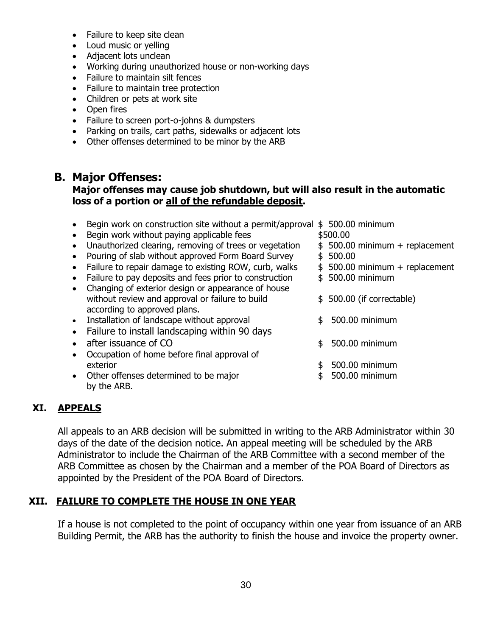- Failure to keep site clean
- Loud music or yelling
- Adjacent lots unclean
- Working during unauthorized house or non-working days
- Failure to maintain silt fences
- Failure to maintain tree protection
- Children or pets at work site
- Open fires
- Failure to screen port-o-johns & dumpsters
- Parking on trails, cart paths, sidewalks or adjacent lots
- Other offenses determined to be minor by the ARB

#### **B. Major Offenses:**

#### **Major offenses may cause job shutdown, but will also result in the automatic loss of a portion or all of the refundable deposit.**

- Begin work on construction site without a permit/approval \$500.00 minimum
- Begin work without paying applicable fees  $$500.00$
- Unauthorized clearing, removing of trees or vegetation  $$500.00$  minimum + replacement
- Pouring of slab without approved Form Board Survey \$ 500.00
- Failure to repair damage to existing ROW, curb, walks  $\qquad$  \$ 500.00 minimum + replacement
- Failure to pay deposits and fees prior to construction  $\qquad$  \$ 500.00 minimum
- Changing of exterior design or appearance of house without review and approval or failure to build  $\qquad \qquad$  \$ 500.00 (if correctable) according to approved plans.
- Installation of landscape without approval  $\qquad \qquad$  \$ 500.00 minimum
- Failure to install landscaping within 90 days
- after issuance of CO  $\qquad \qquad$  \$ 500.00 minimum
- Occupation of home before final approval of exterior **but a set of the set of the set of the set of the set of the set of the set of the set of the set of the set of the set of the set of the set of the set of the set of the set of the set of the set of the set of t**
- Other offenses determined to be major  $$500.00$  minimum by the ARB.

- -
	-
	-
	-
	-
	-
	-
	-
	-

#### **XI. APPEALS**

All appeals to an ARB decision will be submitted in writing to the ARB Administrator within 30 days of the date of the decision notice. An appeal meeting will be scheduled by the ARB Administrator to include the Chairman of the ARB Committee with a second member of the ARB Committee as chosen by the Chairman and a member of the POA Board of Directors as appointed by the President of the POA Board of Directors.

#### **XII. FAILURE TO COMPLETE THE HOUSE IN ONE YEAR**

If a house is not completed to the point of occupancy within one year from issuance of an ARB Building Permit, the ARB has the authority to finish the house and invoice the property owner.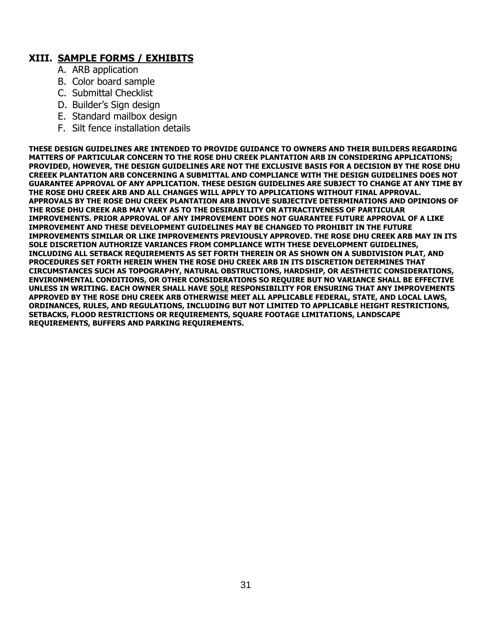#### **XIII. SAMPLE FORMS / EXHIBITS**

- A. ARB application
- B. Color board sample
- C. Submittal Checklist
- D. Builder's Sign design
- E. Standard mailbox design
- F. Silt fence installation details

**THESE DESIGN GUIDELINES ARE INTENDED TO PROVIDE GUIDANCE TO OWNERS AND THEIR BUILDERS REGARDING MATTERS OF PARTICULAR CONCERN TO THE ROSE DHU CREEK PLANTATION ARB IN CONSIDERING APPLICATIONS; PROVIDED, HOWEVER, THE DESIGN GUIDELINES ARE NOT THE EXCLUSIVE BASIS FOR A DECISION BY THE ROSE DHU CREEEK PLANTATION ARB CONCERNING A SUBMITTAL AND COMPLIANCE WITH THE DESIGN GUIDELINES DOES NOT GUARANTEE APPROVAL OF ANY APPLICATION. THESE DESIGN GUIDELINES ARE SUBJECT TO CHANGE AT ANY TIME BY THE ROSE DHU CREEK ARB AND ALL CHANGES WILL APPLY TO APPLICATIONS WITHOUT FINAL APPROVAL. APPROVALS BY THE ROSE DHU CREEK PLANTATION ARB INVOLVE SUBJECTIVE DETERMINATIONS AND OPINIONS OF THE ROSE DHU CREEK ARB MAY VARY AS TO THE DESIRABILITY OR ATTRACTIVENESS OF PARTICULAR IMPROVEMENTS. PRIOR APPROVAL OF ANY IMPROVEMENT DOES NOT GUARANTEE FUTURE APPROVAL OF A LIKE IMPROVEMENT AND THESE DEVELOPMENT GUIDELINES MAY BE CHANGED TO PROHIBIT IN THE FUTURE IMPROVEMENTS SIMILAR OR LIKE IMPROVEMENTS PREVIOUSLY APPROVED. THE ROSE DHU CREEK ARB MAY IN ITS SOLE DISCRETION AUTHORIZE VARIANCES FROM COMPLIANCE WITH THESE DEVELOPMENT GUIDELINES, INCLUDING ALL SETBACK REQUIREMENTS AS SET FORTH THEREIN OR AS SHOWN ON A SUBDIVISION PLAT, AND PROCEDURES SET FORTH HEREIN WHEN THE ROSE DHU CREEK ARB IN ITS DISCRETION DETERMINES THAT CIRCUMSTANCES SUCH AS TOPOGRAPHY, NATURAL OBSTRUCTIONS, HARDSHIP, OR AESTHETIC CONSIDERATIONS, ENVIRONMENTAL CONDITIONS, OR OTHER CONSIDERATIONS SO REQUIRE BUT NO VARIANCE SHALL BE EFFECTIVE UNLESS IN WRITING. EACH OWNER SHALL HAVE SOLE RESPONSIBILITY FOR ENSURING THAT ANY IMPROVEMENTS APPROVED BY THE ROSE DHU CREEK ARB OTHERWISE MEET ALL APPLICABLE FEDERAL, STATE, AND LOCAL LAWS, ORDINANCES, RULES, AND REGULATIONS, INCLUDING BUT NOT LIMITED TO APPLICABLE HEIGHT RESTRICTIONS, SETBACKS, FLOOD RESTRICTIONS OR REQUIREMENTS, SQUARE FOOTAGE LIMITATIONS, LANDSCAPE REQUIREMENTS, BUFFERS AND PARKING REQUIREMENTS.**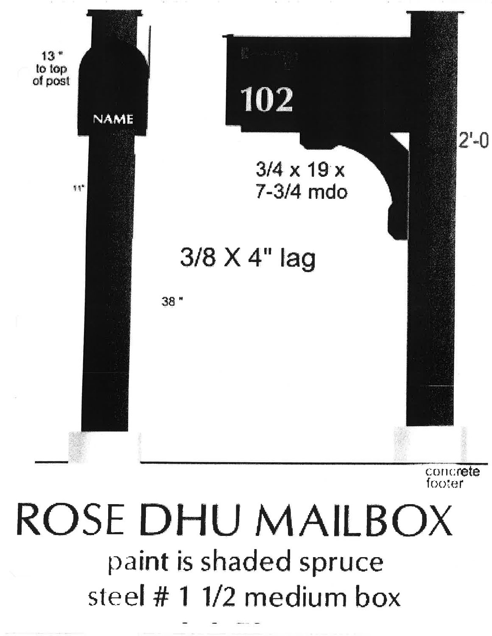

concrete footer

# ROSE DHU MAILBOX paint is shaded spruce steel #11/2 medium box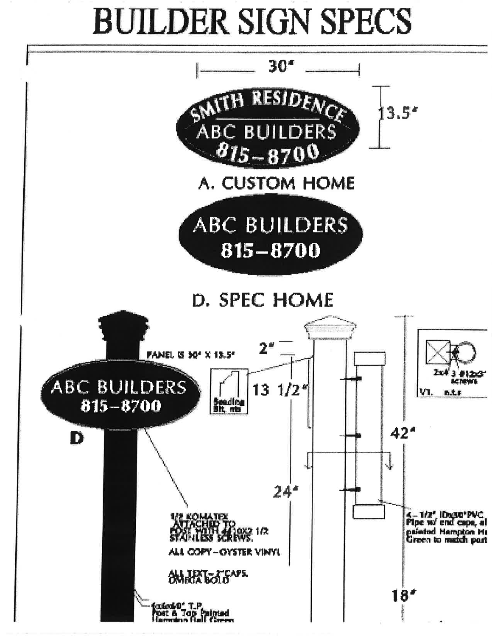# **BUILDER SIGN SPECS**

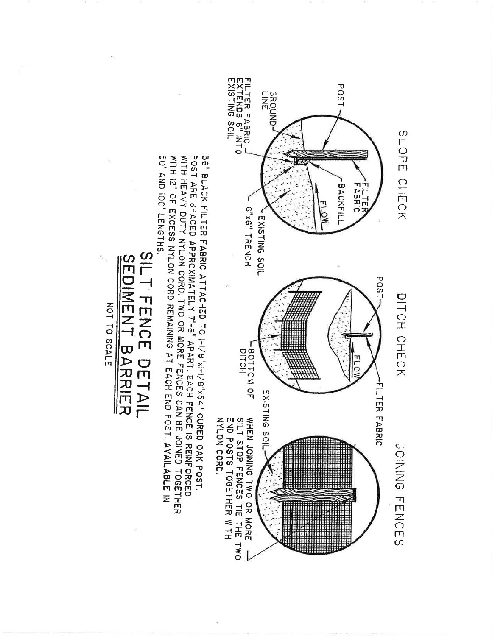

WITH 12" OF EXCESS NYLON CORD REMAINING AT EACH END POST, AVAILABLE IN POST ARE SPACED APPROXIMATELY 7'-8" APART. EACH FENCE IS REINFORCED<br>WITH HEAVY DUTY NYLON CORD. TWO OR MORE FENCES CAN BE JOINED TOGETHER 50' AND IOO' LENGTHS. 36" BLACK FILTER FABRIC ATTACHED TO I-1/8"x54" CURED OAK POST.

 $\frac{3}{5}$ **NENT BARANER** 

**1715** 

FENCE DETAIL

NOT TO SCALE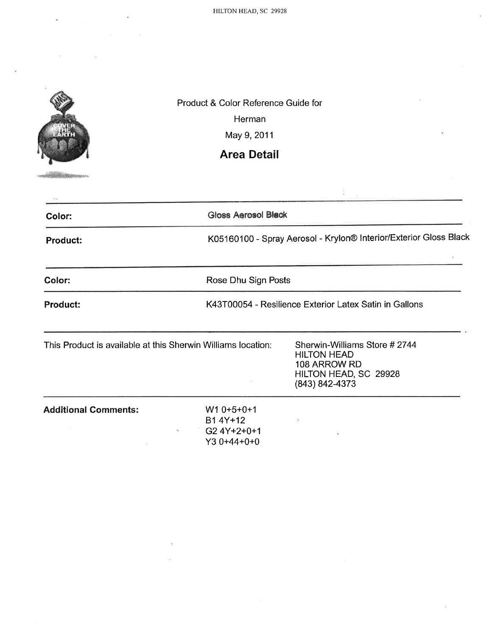HILTON HEAD, SC 29928



**STATISTICS** 

Product & Color Reference Guide for

Herman

May 9, 2011

## **Area Detail**

| Color:                                                       | <b>Gloss Aerosol Black</b>                                 |                                                                                                               |
|--------------------------------------------------------------|------------------------------------------------------------|---------------------------------------------------------------------------------------------------------------|
| <b>Product:</b>                                              |                                                            | K05160100 - Spray Aerosol - Krylon® Interior/Exterior Gloss Black                                             |
| Color:                                                       | Rose Dhu Sign Posts                                        |                                                                                                               |
| <b>Product:</b>                                              |                                                            | K43T00054 - Resilience Exterior Latex Satin in Gallons                                                        |
| This Product is available at this Sherwin Williams location: |                                                            | Sherwin-Williams Store #2744<br><b>HILTON HEAD</b><br>108 ARROW RD<br>HILTON HEAD, SC 29928<br>(843) 842-4373 |
| <b>Additional Comments:</b>                                  | $W10+5+0+1$<br>B1 4Y+12<br>G2 4Y+2+0+1<br>×<br>Y3 0+44+0+0 | $\langle \Gamma \rangle$                                                                                      |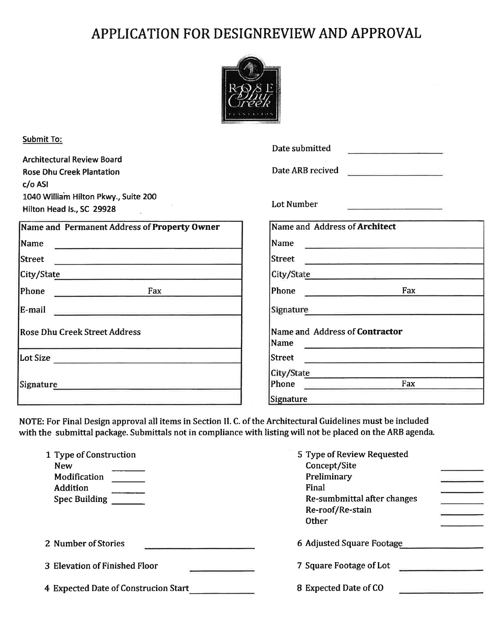## APPLICATION FOR DESIGNREVIEW AND APPROVAL



| <b>Submit To:</b><br><b>Architectural Review Board</b><br><b>Rose Dhu Creek Plantation</b>                                                                                                         | Date submitted<br>the contract of the contract of the contract of the contract of<br>Date ARB recived                                                                                                                                              |
|----------------------------------------------------------------------------------------------------------------------------------------------------------------------------------------------------|----------------------------------------------------------------------------------------------------------------------------------------------------------------------------------------------------------------------------------------------------|
| $c/o$ ASI<br>1040 William Hilton Pkwy., Suite 200<br>Hilton Head Is., SC 29928                                                                                                                     | Lot Number<br><u> San Angeles (San Angeles San Angeles San Angeles San Angeles San Angeles San Angeles San Angeles San Angeles San Angeles San Angeles San Angeles San Angeles San Angeles San Angeles San Angeles San Angeles San Angeles San</u> |
| Name and Permanent Address of Property Owner                                                                                                                                                       | Name and Address of Architect                                                                                                                                                                                                                      |
| Name<br>the property of the control of the control of the control of the control of the control of the control of the                                                                              |                                                                                                                                                                                                                                                    |
| Street<br><u> 1989 - Jan Berlin, Amerikaansk politiker († 1908)</u>                                                                                                                                | Street<br><u>service and the company of the company of the company of the company of the company of the company of the company of the company of the company of the company of the company of the company of the company of the company of</u>     |
| City/State                                                                                                                                                                                         | City/State <b>City/State</b>                                                                                                                                                                                                                       |
| Phone Fax                                                                                                                                                                                          | Phone <u>Denomination</u><br>Fax                                                                                                                                                                                                                   |
| E-mail                                                                                                                                                                                             | Signature Signature Signature Communications of the Signature Communication of the Signature Communication of the Signature Communication of the Signature Communication of the Signature Communication of the Communication o                     |
| <b>Rose Dhu Creek Street Address</b>                                                                                                                                                               | Name and Address of Contractor<br>Name<br><u>a serie de la construcción de la construcción de la construcción de la construcción de la construcción de la c</u>                                                                                    |
|                                                                                                                                                                                                    | <b>Street</b><br><u> 1989 - Johann Johann Harry Harry Harry Harry Harry Harry Harry Harry Harry Harry Harry Harry Harry Harry Harry</u>                                                                                                            |
| Signature <b>Signature Signature Signature Signature Signature Signature Signature Signature Signature Signature Signature Signature Signature Signature Signature Signature Signature Signatu</b> | City/State<br>Fax<br>Phone <b>Phone</b><br><b>Signature</b>                                                                                                                                                                                        |

NOTE: For Final Design approval all items in Section II. C. of the Architectural Guidelines must be included with the submittal package. Submittals not in compliance with listing will not be placed on the ARB agenda.

| 1 Type of Construction<br><b>New</b><br>Modification<br><b>Addition</b><br><b>Spec Building</b> | 5 Type of Review Requested<br>Concept/Site<br>Preliminary<br>Final<br>Re-sumbmittal after changes<br>Re-roof/Re-stain<br><b>Other</b> |
|-------------------------------------------------------------------------------------------------|---------------------------------------------------------------------------------------------------------------------------------------|
| 2 Number of Stories                                                                             | 6 Adjusted Square Footage                                                                                                             |
| 3 Elevation of Finished Floor                                                                   | 7 Square Footage of Lot<br>the control of the control of the control of                                                               |
| 4 Expected Date of Construcion Start                                                            | 8 Expected Date of CO                                                                                                                 |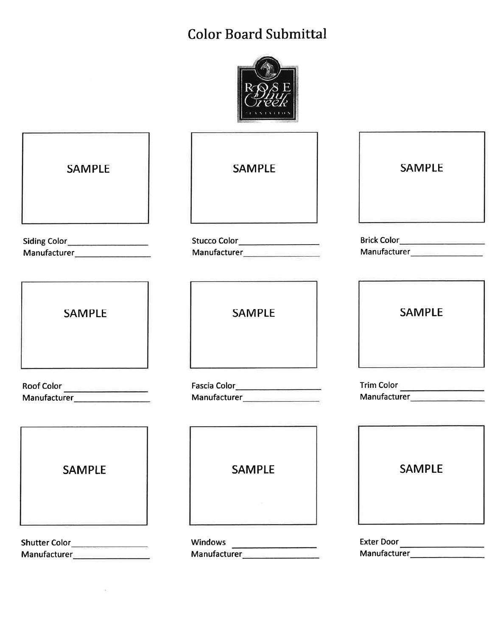## **Color Board Submittal**



| <b>SAMPLE</b>                                  | <b>SAMPLE</b>                                                        | <b>SAMPLE</b>                                                    |
|------------------------------------------------|----------------------------------------------------------------------|------------------------------------------------------------------|
| Siding Color<br>Manufacturer__________________ | Stucco Color__________________<br>Manufacturer___________________    | Brick Color____________________<br>Manufacturer_________________ |
| <b>SAMPLE</b>                                  | <b>SAMPLE</b>                                                        | <b>SAMPLE</b>                                                    |
| Roof Color                                     | Fascia Color______________________<br>Manufacturer__________________ | Trim Color<br>Manufacturer _________________                     |
| <b>SAMPLE</b>                                  | <b>SAMPLE</b>                                                        | <b>SAMPLE</b>                                                    |
| Shutter Color_                                 | <b>Windows</b><br>Manufacturer_________                              | <b>Exter Door</b><br>Manufacturer___________                     |